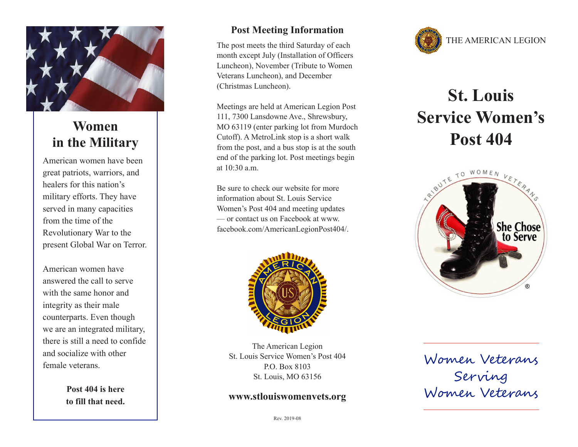

# **Women in the Military**

American women have been great patriots, warriors, and healers for this nation's military efforts. They have served in many capacities from the time of the Revolutionary War to the present Global War on Terror.

American women have answered the call to serve with the same honor and integrity as their male counterparts. Even though we are an integrated military, there is still a need to confide and socialize with other female veterans.

> **Post 404 is here to fill that need.**

### **Post Meeting Information**

The post meets the third Saturday of each month except July (Installation of Officers Luncheon), November (Tribute to Women Veterans Luncheon), and December (Christmas Luncheon).

Meetings are held at American Legion Post 111, 7300 Lansdowne Ave., Shrewsbury, MO 63119 (enter parking lot from Murdoch Cutoff). A MetroLink stop is a short walk from the post, and a bus stop is at the south end of the parking lot. Post meetings begin at 10:30 a.m.

Be sure to check our website for more information about St. Louis Service Women's Post 404 and meeting updates — or contact us on Facebook at www. facebook.com/AmericanLegionPost404/.



The American Legion St. Louis Service Women's Post 404 P.O. Box 8103 St. Louis, MO 63156

### **www.stlouiswomenvets.org**



# **St. Louis Service Women's Post 404**



Women Veterans Serving Women Veterans